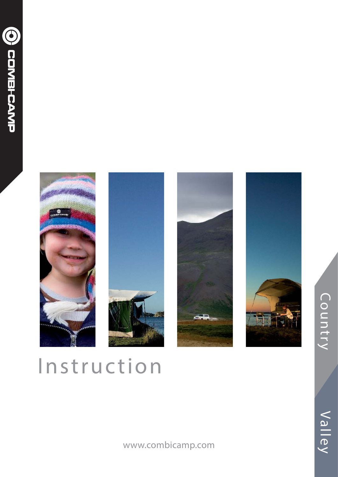







# Instruction

www.combicamp.com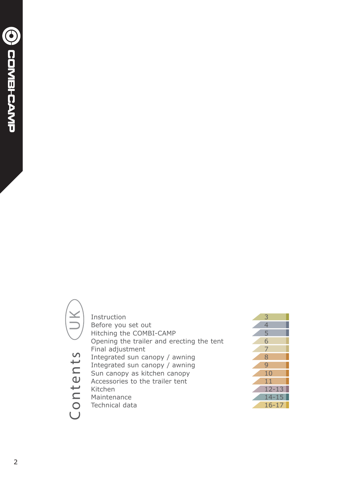Contents UK Instruction 3<br>Before you set out 3 Before you set out<br>
Hitching the COMBI-CAMP Hitching the COMBI-CAMP<br>Opening the trailer and erecting the tent 6 Opening the trailer and erecting the tent<br>Final adjustment Final adjustment<br>Integrated sun canopy / awning Contents Integrated sun canopy / awning<br>Integrated sun canopy / awning Integrated sun canopy / awning<br>
Sun canopy as kitchen canopy Sun canopy as kitchen canopy 10<br>Accessories to the trailer tent 11 Accessories to the trailer tent 11 11 12-13 Kitchen 12-1<br>Maintenance 14-1 Maintenance 14-15<br>Technical data 16-17 Technical data

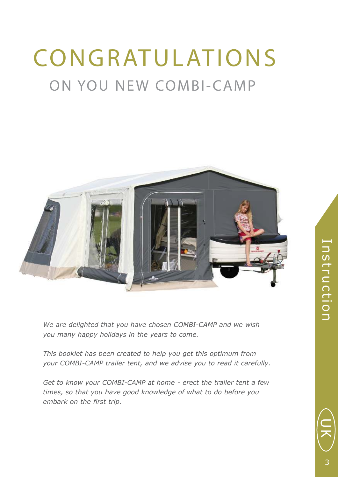# ON YOU NEW COMBI-CAMP CONGRATULATIONS



*We are delighted that you have chosen COMBI-CAMP and we wish you many happy holidays in the years to come.*

*This booklet has been created to help you get this optimum from your COMBI-CAMP trailer tent, and we advise you to read it carefully.*

*Get to know your COMBI-CAMP at home - erect the trailer tent a few times, so that you have good knowledge of what to do before you embark on the first trip.*

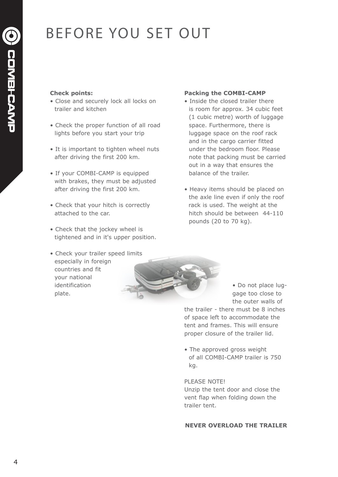## BEFORE YOU SET OUT

#### **Check points:**

- Close and securely lock all locks on trailer and kitchen
- Check the proper function of all road lights before you start your trip
- It is important to tighten wheel nuts after driving the first 200 km.
- If your COMBI-CAMP is equipped with brakes, they must be adjusted after driving the first 200 km.
- Check that your hitch is correctly attached to the car.
- Check that the jockey wheel is tightened and in it's upper position.

#### • Check your trailer speed limits especially in foreign countries and fit your national identification plate.

#### **Packing the COMBI-CAMP**

- Inside the closed trailer there is room for approx. 34 cubic feet (1 cubic metre) worth of luggage space. Furthermore, there is luggage space on the roof rack and in the cargo carrier fitted under the bedroom floor. Please note that packing must be carried out in a way that ensures the balance of the trailer.
- Heavy items should be placed on the axle line even if only the roof rack is used. The weight at the hitch should be between 44-110 pounds (20 to 70 kg).

 • Do not place lug gage too close to the outer walls of

the trailer - there must be 8 inches of space left to accommodate the tent and frames. This will ensure proper closure of the trailer lid.

• The approved gross weight of all COMBI-CAMP trailer is 750 kg.

#### PLEASE NOTE!

Unzip the tent door and close the vent flap when folding down the trailer tent.

#### **NEVER OVERLOAD THE TRAILER**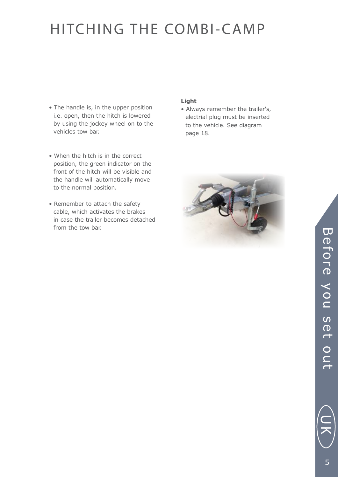### HITCHING THE COMBI-CAMP

- The handle is, in the upper position i.e. open, then the hitch is lowered by using the jockey wheel on to the vehicles tow bar.
- When the hitch is in the correct position, the green indicator on the front of the hitch will be visible and the handle will automatically move to the normal position.
- Remember to attach the safety cable, which activates the brakes in case the trailer becomes detached from the tow bar.

#### **Light**

• Always remember the trailer's, electrial plug must be inserted to the vehicle. See diagram page 18.



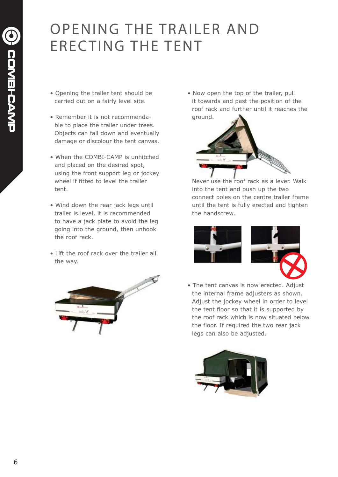### OPENING THE TRAILER AND ERECTING THE TENT

- Opening the trailer tent should be carried out on a fairly level site.
- Remember it is not recommenda ble to place the trailer under trees. Objects can fall down and eventually damage or discolour the tent canvas.
- When the COMBI-CAMP is unhitched and placed on the desired spot, using the front support leg or jockey wheel if fitted to level the trailer tent.
- Wind down the rear jack legs until trailer is level, it is recommended to have a jack plate to avoid the leg going into the ground, then unhook the roof rack.
- Lift the roof rack over the trailer all the way.



• Now open the top of the trailer, pull it towards and past the position of the roof rack and further until it reaches the ground.



Never use the roof rack as a lever. Walk into the tent and push up the two connect poles on the centre trailer frame until the tent is fully erected and tighten the handscrew.



• The tent canvas is now erected. Adjust the internal frame adjusters as shown. Adjust the jockey wheel in order to level the tent floor so that it is supported by the roof rack which is now situated below the floor. If required the two rear jack legs can also be adjusted.

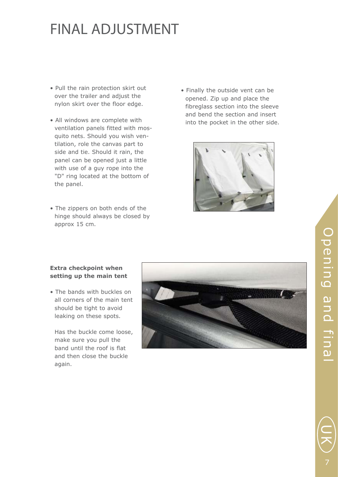### FINAL ADJUSTMENT

- Pull the rain protection skirt out over the trailer and adjust the nylon skirt over the floor edge.
- All windows are complete with ventilation panels fitted with mos quito nets. Should you wish ven tilation, role the canvas part to side and tie. Should it rain, the panel can be opened just a little with use of a guy rope into the "D" ring located at the bottom of the panel.
- The zippers on both ends of the hinge should always be closed by approx 15 cm.

• Finally the outside vent can be opened. Zip up and place the fibreglass section into the sleeve and bend the section and insert into the pocket in the other side.



#### **Extra checkpoint when setting up the main tent**

• The bands with buckles on all corners of the main tent should be tight to avoid leaking on these spots.

 Has the buckle come loose, make sure you pull the band until the roof is flat and then close the buckle again.



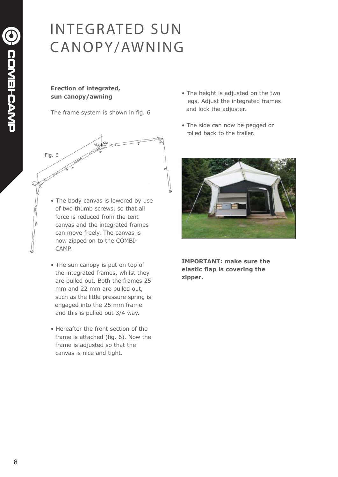### INTEGRATED SUN CANOPY/AWNING

#### **Erection of integrated, sun canopy/awning**

The frame system is shown in fig. 6



- The body canvas is lowered by use of two thumb screws, so that all force is reduced from the tent canvas and the integrated frames can move freely. The canvas is now zipped on to the COMBI- CAMP.
- The sun canopy is put on top of the integrated frames, whilst they are pulled out. Both the frames 25 mm and 22 mm are pulled out, such as the little pressure spring is engaged into the 25 mm frame and this is pulled out 3/4 way.
- Hereafter the front section of the frame is attached (fig. 6). Now the frame is adjusted so that the canvas is nice and tight.
- The height is adjusted on the two legs. Adjust the integrated frames and lock the adjuster.
- The side can now be pegged or rolled back to the trailer.



**IMPORTANT: make sure the elastic flap is covering the zipper.**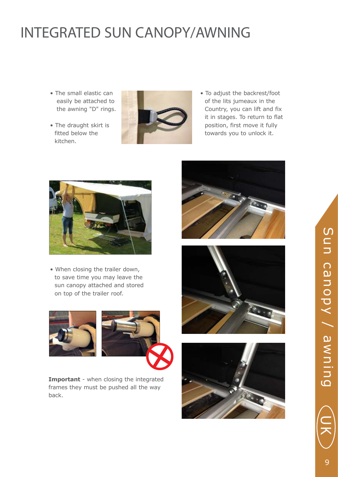### INTEGRATED SUN CANOPY/AWNING

- The small elastic can easily be attached to the awning "D" rings.
- The draught skirt is fitted below the kitchen.



• To adjust the backrest/foot of the lits jumeaux in the Country, you can lift and fix it in stages. To return to flat position, first move it fully towards you to unlock it.



• When closing the trailer down, to save time you may leave the sun canopy attached and stored on top of the trailer roof.





**Important** - when closing the integrated frames they must be pushed all the way back.







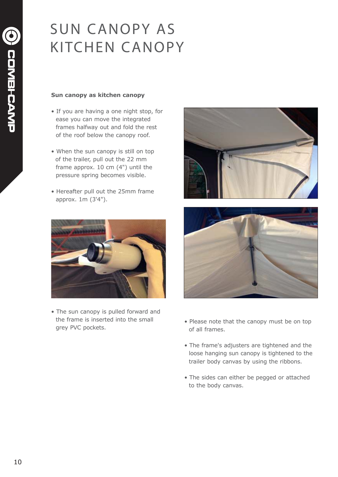### SUN CANOPY AS KITCHEN CANOPY

#### **Sun canopy as kitchen canopy**

- If you are having a one night stop, for ease you can move the integrated frames halfway out and fold the rest of the roof below the canopy roof.
- When the sun canopy is still on top of the trailer, pull out the 22 mm frame approx. 10 cm (4") until the pressure spring becomes visible.
- Hereafter pull out the 25mm frame approx. 1m (3'4").



• The sun canopy is pulled forward and the frame is inserted into the small grey PVC pockets.





- Please note that the canopy must be on top of all frames.
- The frame's adjusters are tightened and the loose hanging sun canopy is tightened to the trailer body canvas by using the ribbons.
- The sides can either be pegged or attached to the body canvas.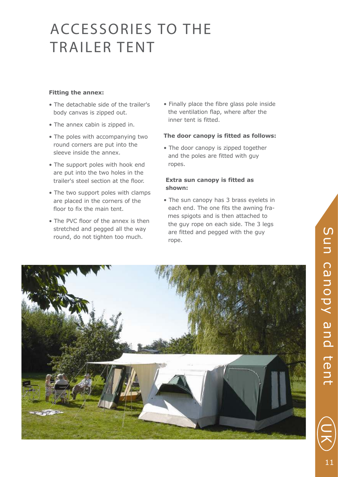### ACCESSORIES TO THE TRAILER TENT

#### **Fitting the annex:**

- The detachable side of the trailer's body canvas is zipped out.
- The annex cabin is zipped in.
- The poles with accompanying two round corners are put into the sleeve inside the annex.
- The support poles with hook end are put into the two holes in the trailer's steel section at the floor.
- The two support poles with clamps are placed in the corners of the floor to fix the main tent.
- The PVC floor of the annex is then stretched and pegged all the way round, do not tighten too much.

• Finally place the fibre glass pole inside the ventilation flap, where after the inner tent is fitted.

#### **The door canopy is fitted as follows:**

• The door canopy is zipped together and the poles are fitted with guy ropes.

#### **Extra sun canopy is fitted as shown:**

• The sun canopy has 3 brass eyelets in each end. The one fits the awning fra mes spigots and is then attached to the guy rope on each side. The 3 legs are fitted and pegged with the guy rope.



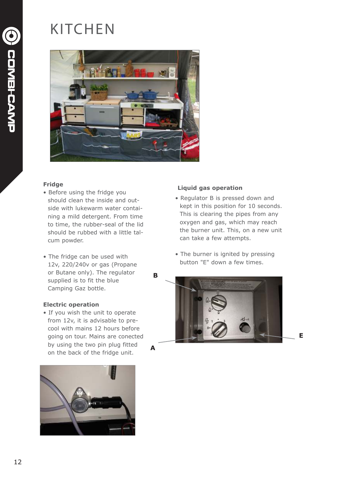## KITCHEN



#### **Fridge**

- Before using the fridge you should clean the inside and out side with lukewarm water contai ning a mild detergent. From time to time, the rubber-seal of the lid should be rubbed with a little tal cum powder.
- The fridge can be used with 12v, 220/240v or gas (Propane or Butane only). The regulator supplied is to fit the blue Camping Gaz bottle.

#### **Electric operation**

• If you wish the unit to operate from 12v, it is advisable to pre cool with mains 12 hours before going on tour. Mains are conected by using the two pin plug fitted on the back of the fridge unit.



#### **Liquid gas operation**

- Regulator B is pressed down and kept in this position for 10 seconds. This is clearing the pipes from any oxygen and gas, which may reach the burner unit. This, on a new unit can take a few attempts.
- The burner is ignited by pressing button "E" down a few times.



**E**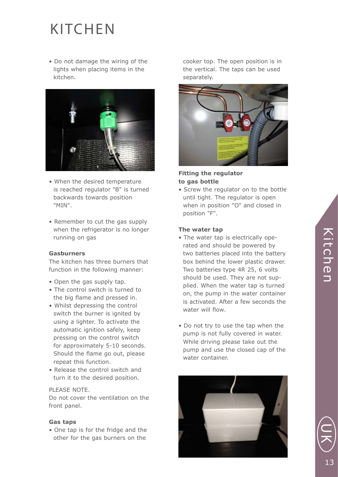### **KITCHEN**

• Do not damage the wiring of the lights when placing items in the kitchen.



- When the desired temperature is reached regulator "B" is turned backwards towards position "MIN".
- Remember to cut the gas supply when the refrigerator is no longer running on gas

#### **Gasburners**

The kitchen has three burners that function in the following manner:

- Open the gas supply tap.
- The control switch is turned to the big flame and pressed in.
- Whilst depressing the control switch the burner is ignited by using a lighter. To activate the automatic ignition safely, keep pressing on the control switch for approximately 5-10 seconds. Should the flame go out, please repeat this function.
- Release the control switch and turn it to the desired position.

#### PLEASE NOTE.

Do not cover the ventilation on the front panel.

#### **Gas taps**

• One tap is for the fridge and the other for the gas burners on the

 cooker top. The open position is in the vertical. The taps can be used separately.



#### **Fitting the regulator to gas bottle**

• Screw the regulator on to the bottle until tight. The regulator is open when in position "O" and closed in position "F".

#### **The water tap**

- The water tap is electrically ope rated and should be powered by two batteries placed into the battery box behind the lower plastic drawer. Two batteries type 4R 25, 6 volts should be used. They are not sup plied. When the water tap is turned on, the pump in the water container is activated. After a few seconds the water will flow.
- Do not try to use the tap when the pump is not fully covered in water. While driving please take out the pump and use the closed cap of the water container.



드<br>ᄌ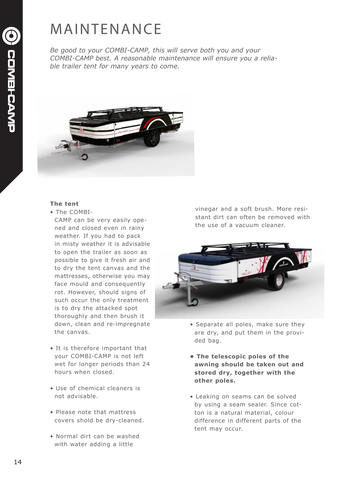### **MAINTENANCE**

*Be good to your COMBI-CAMP, this will serve both you and your COMBI-CAMP best. A reasonable maintenance will ensure you a reliable trailer tent for many years to come.* 



#### **The tent**

- The COMBI-
	- CAMP can be very easily ope ned and closed even in rainy weather. If you had to pack in misty weather it is advisable to open the trailer as soon as possible to give it fresh air and to dry the tent canvas and the mattresses, otherwise you may face mould and consequently rot. However, should signs of such occur the only treatment is to dry the attacked spot thoroughly and then brush it down, clean and re-impregnate the canvas.
- It is therefore important that your COMBI-CAMP is not left wet for longer periods than 24 hours when closed.
- Use of chemical cleaners is not advisable.
- Please note that mattress covers shold be dry-cleaned.
- Normal dirt can be washed with water adding a little

vinegar and a soft brush. More resistant dirt can often be removed with the use of a vacuum cleaner.



- Separate all poles, make sure they are dry, and put them in the provi ded bag.
- **The telescopic poles of the awning should be taken out and stored dry, together with the other poles.**
- Leaking on seams can be solved by using a seam sealer. Since cot ton is a natural material, colour difference in different parts of the tent may occur.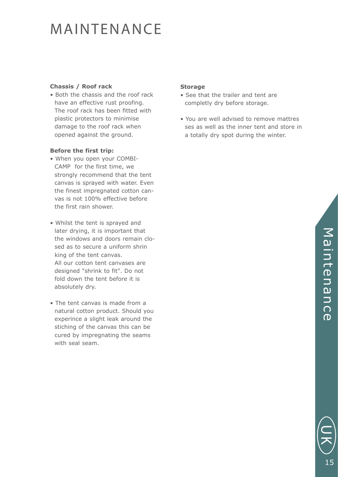### MAINTENANCE

#### **Chassis / Roof rack**

• Both the chassis and the roof rack have an effective rust proofing. The roof rack has been fitted with plastic protectors to minimise damage to the roof rack when opened against the ground.

#### **Before the first trip:**

- When you open your COMBI- CAMP for the first time, we strongly recommend that the tent canvas is sprayed with water. Even the finest impregnated cotton can vas is not 100% effective before the first rain shower.
- Whilst the tent is sprayed and later drying, it is important that the windows and doors remain clo sed as to secure a uniform shrin king of the tent canvas. All our cotton tent canvases are designed "shrink to fit". Do not fold down the tent before it is absolutely dry.
- The tent canvas is made from a natural cotton product. Should you experince a slight leak around the stiching of the canvas this can be cured by impregnating the seams with seal seam.

#### **Storage**

- See that the trailer and tent are completly dry before storage.
- You are well advised to remove mattres ses as well as the inner tent and store in a totally dry spot during the winter.

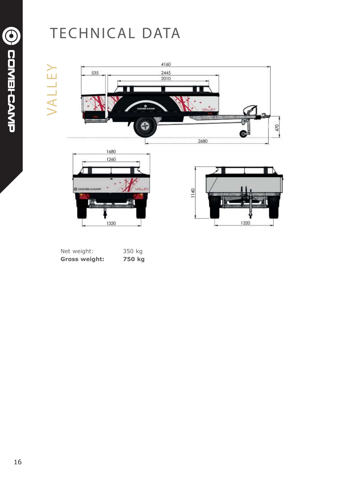### TECHNICAL DATA

# VALLEY VALLEY



| Net weight:          | 350 kg |  |
|----------------------|--------|--|
| <b>Gross weight:</b> | 750 kg |  |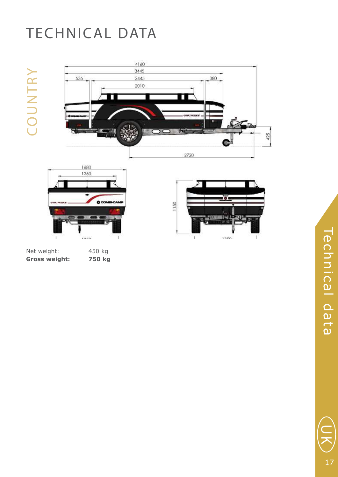## TECHNICAL DATA

COUNTRY